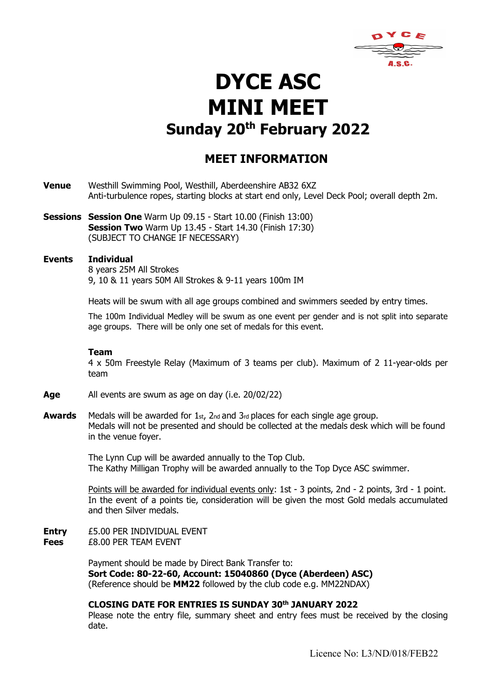

# DYCE ASC MINI MEET Sunday 20<sup>th</sup> February 2022

## MEET INFORMATION

- Venue Westhill Swimming Pool, Westhill, Aberdeenshire AB32 6XZ Anti-turbulence ropes, starting blocks at start end only, Level Deck Pool; overall depth 2m.
- Sessions Session One Warm Up 09.15 Start 10.00 (Finish 13:00) **Session Two** Warm Up 13.45 - Start 14.30 (Finish 17:30) (SUBJECT TO CHANGE IF NECESSARY)

#### Events Individual

8 years 25M All Strokes 9, 10 & 11 years 50M All Strokes & 9-11 years 100m IM

Heats will be swum with all age groups combined and swimmers seeded by entry times.

The 100m Individual Medley will be swum as one event per gender and is not split into separate age groups. There will be only one set of medals for this event.

#### Team

4 x 50m Freestyle Relay (Maximum of 3 teams per club). Maximum of 2 11-year-olds per team

- Age All events are swum as age on day (i.e. 20/02/22)
- **Awards** Medals will be awarded for  $1$ <sub>st</sub>,  $2$ <sub>nd</sub> and  $3$ <sub>rd</sub> places for each single age group. Medals will not be presented and should be collected at the medals desk which will be found in the venue foyer.

The Lynn Cup will be awarded annually to the Top Club. The Kathy Milligan Trophy will be awarded annually to the Top Dyce ASC swimmer.

Points will be awarded for individual events only: 1st - 3 points, 2nd - 2 points, 3rd - 1 point. In the event of a points tie, consideration will be given the most Gold medals accumulated and then Silver medals.

Entry £5.00 PER INDIVIDUAL EVENT Fees £8.00 PER TEAM EVENT

> Payment should be made by Direct Bank Transfer to: Sort Code: 80-22-60, Account: 15040860 (Dyce (Aberdeen) ASC) (Reference should be MM22 followed by the club code e.g. MM22NDAX)

### CLOSING DATE FOR ENTRIES IS SUNDAY 30th JANUARY 2022

Please note the entry file, summary sheet and entry fees must be received by the closing date.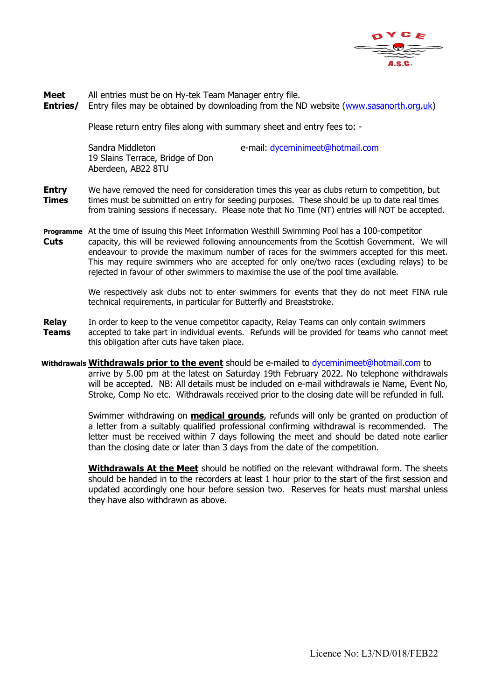

Meet All entries must be on Hy-tek Team Manager entry file.

**Entries/** Entry files may be obtained by downloading from the ND website (www.sasanorth.org.uk)

Please return entry files along with summary sheet and entry fees to: -

19 Slains Terrace, Bridge of Don Aberdeen, AB22 8TU

Sandra Middleton e-mail: dyceminimeet@hotmail.com

- **Entry** We have removed the need for consideration times this year as clubs return to competition, but **Times** times must be submitted on entry for seeding purposes. These should be up to date real times from training sessions if necessary. Please note that No Time (NT) entries will NOT be accepted.
- Programme At the time of issuing this Meet Information Westhill Swimming Pool has a 100-competitor **Cuts** capacity, this will be reviewed following announcements from the Scottish Government. We will endeavour to provide the maximum number of races for the swimmers accepted for this meet. This may require swimmers who are accepted for only one/two races (excluding relays) to be rejected in favour of other swimmers to maximise the use of the pool time available.

 We respectively ask clubs not to enter swimmers for events that they do not meet FINA rule technical requirements, in particular for Butterfly and Breaststroke.

- Relay In order to keep to the venue competitor capacity, Relay Teams can only contain swimmers **Teams** accepted to take part in individual events. Refunds will be provided for teams who cannot meet this obligation after cuts have taken place.
- Withdrawals Withdrawals prior to the event should be e-mailed to dyceminimeet@hotmail.com to arrive by 5.00 pm at the latest on Saturday 19th February 2022. No telephone withdrawals will be accepted. NB: All details must be included on e-mail withdrawals ie Name, Event No, Stroke, Comp No etc. Withdrawals received prior to the closing date will be refunded in full.

Swimmer withdrawing on **medical grounds**, refunds will only be granted on production of a letter from a suitably qualified professional confirming withdrawal is recommended. The letter must be received within 7 days following the meet and should be dated note earlier than the closing date or later than 3 days from the date of the competition.

Withdrawals At the Meet should be notified on the relevant withdrawal form. The sheets should be handed in to the recorders at least 1 hour prior to the start of the first session and updated accordingly one hour before session two. Reserves for heats must marshal unless they have also withdrawn as above.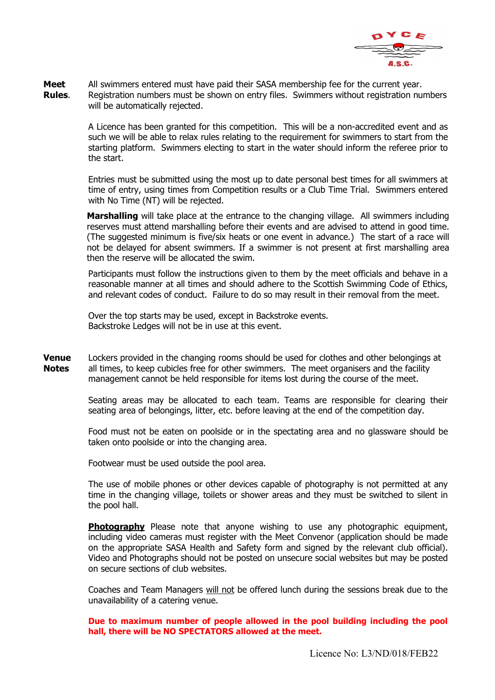

**Meet** All swimmers entered must have paid their SASA membership fee for the current year. **Rules.** Registration numbers must be shown on entry files. Swimmers without registration numbers will be automatically rejected.

> A Licence has been granted for this competition. This will be a non-accredited event and as such we will be able to relax rules relating to the requirement for swimmers to start from the starting platform. Swimmers electing to start in the water should inform the referee prior to the start.

> Entries must be submitted using the most up to date personal best times for all swimmers at time of entry, using times from Competition results or a Club Time Trial. Swimmers entered with No Time (NT) will be rejected.

> **Marshalling** will take place at the entrance to the changing village. All swimmers including reserves must attend marshalling before their events and are advised to attend in good time. (The suggested minimum is five/six heats or one event in advance.) The start of a race will not be delayed for absent swimmers. If a swimmer is not present at first marshalling area then the reserve will be allocated the swim.

> Participants must follow the instructions given to them by the meet officials and behave in a reasonable manner at all times and should adhere to the Scottish Swimming Code of Ethics, and relevant codes of conduct. Failure to do so may result in their removal from the meet.

Over the top starts may be used, except in Backstroke events. Backstroke Ledges will not be in use at this event.

**Venue** Lockers provided in the changing rooms should be used for clothes and other belongings at Notes all times, to keep cubicles free for other swimmers. The meet organisers and the facility management cannot be held responsible for items lost during the course of the meet.

> Seating areas may be allocated to each team. Teams are responsible for clearing their seating area of belongings, litter, etc. before leaving at the end of the competition day.

> Food must not be eaten on poolside or in the spectating area and no glassware should be taken onto poolside or into the changing area.

Footwear must be used outside the pool area.

The use of mobile phones or other devices capable of photography is not permitted at any time in the changing village, toilets or shower areas and they must be switched to silent in the pool hall.

**Photography** Please note that anyone wishing to use any photographic equipment, including video cameras must register with the Meet Convenor (application should be made on the appropriate SASA Health and Safety form and signed by the relevant club official). Video and Photographs should not be posted on unsecure social websites but may be posted on secure sections of club websites.

Coaches and Team Managers will not be offered lunch during the sessions break due to the unavailability of a catering venue.

Due to maximum number of people allowed in the pool building including the pool hall, there will be NO SPECTATORS allowed at the meet.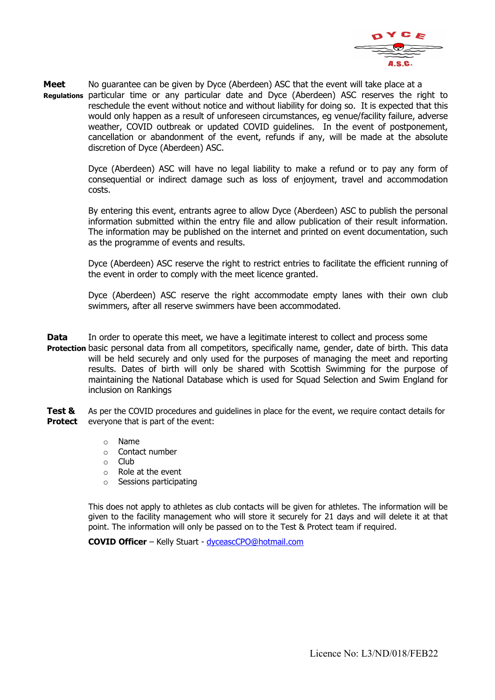

Meet No guarantee can be given by Dyce (Aberdeen) ASC that the event will take place at a Regulations particular time or any particular date and Dyce (Aberdeen) ASC reserves the right to reschedule the event without notice and without liability for doing so. It is expected that this would only happen as a result of unforeseen circumstances, eg venue/facility failure, adverse weather, COVID outbreak or updated COVID guidelines. In the event of postponement, cancellation or abandonment of the event, refunds if any, will be made at the absolute discretion of Dyce (Aberdeen) ASC.

> Dyce (Aberdeen) ASC will have no legal liability to make a refund or to pay any form of consequential or indirect damage such as loss of enjoyment, travel and accommodation costs.

> By entering this event, entrants agree to allow Dyce (Aberdeen) ASC to publish the personal information submitted within the entry file and allow publication of their result information. The information may be published on the internet and printed on event documentation, such as the programme of events and results.

> Dyce (Aberdeen) ASC reserve the right to restrict entries to facilitate the efficient running of the event in order to comply with the meet licence granted.

> Dyce (Aberdeen) ASC reserve the right accommodate empty lanes with their own club swimmers, after all reserve swimmers have been accommodated.

**Data** In order to operate this meet, we have a legitimate interest to collect and process some

Protection basic personal data from all competitors, specifically name, gender, date of birth. This data will be held securely and only used for the purposes of managing the meet and reporting results. Dates of birth will only be shared with Scottish Swimming for the purpose of maintaining the National Database which is used for Squad Selection and Swim England for inclusion on Rankings

Test & As per the COVID procedures and guidelines in place for the event, we require contact details for **Protect** everyone that is part of the event:

- o Name
- o Contact number
- o Club
- o Role at the event
- o Sessions participating

This does not apply to athletes as club contacts will be given for athletes. The information will be given to the facility management who will store it securely for 21 days and will delete it at that point. The information will only be passed on to the Test & Protect team if required.

COVID Officer – Kelly Stuart - dyceascCPO@hotmail.com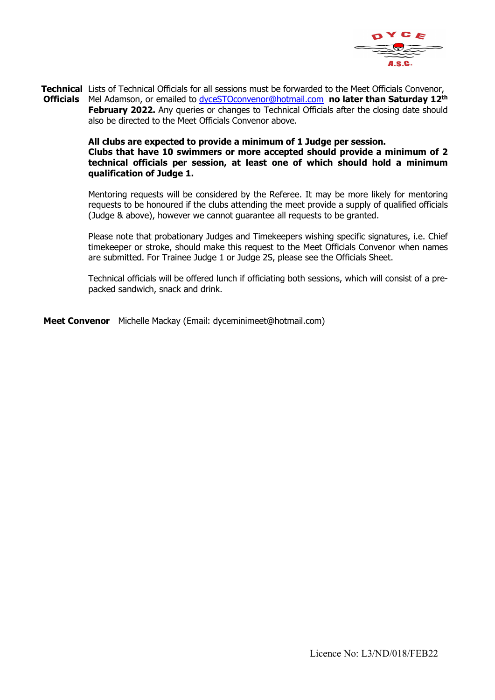

**Technical** Lists of Technical Officials for all sessions must be forwarded to the Meet Officials Convenor, Officials Mel Adamson, or emailed to dyceSTOconvenor@hotmail.com no later than Saturday 12<sup>th</sup> **February 2022.** Any queries or changes to Technical Officials after the closing date should also be directed to the Meet Officials Convenor above.

#### All clubs are expected to provide a minimum of 1 Judge per session. Clubs that have 10 swimmers or more accepted should provide a minimum of 2 technical officials per session, at least one of which should hold a minimum qualification of Judge 1.

Mentoring requests will be considered by the Referee. It may be more likely for mentoring requests to be honoured if the clubs attending the meet provide a supply of qualified officials (Judge & above), however we cannot guarantee all requests to be granted.

Please note that probationary Judges and Timekeepers wishing specific signatures, i.e. Chief timekeeper or stroke, should make this request to the Meet Officials Convenor when names are submitted. For Trainee Judge 1 or Judge 2S, please see the Officials Sheet.

Technical officials will be offered lunch if officiating both sessions, which will consist of a prepacked sandwich, snack and drink.

Meet Convenor Michelle Mackay (Email: dyceminimeet@hotmail.com)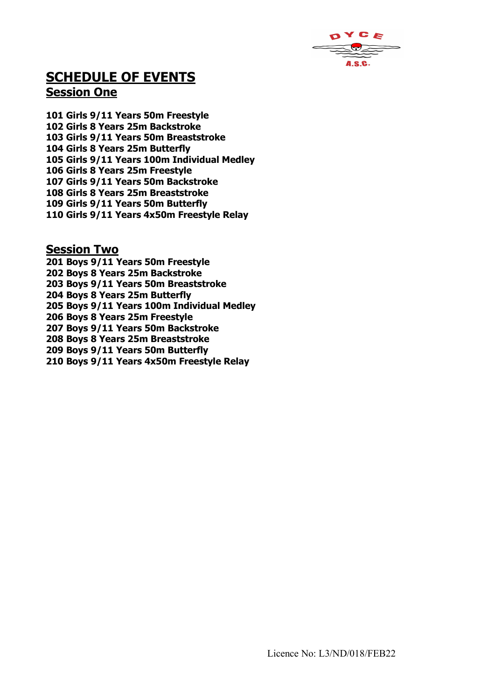

# SCHEDULE OF EVENTS Session One

101 Girls 9/11 Years 50m Freestyle 102 Girls 8 Years 25m Backstroke 103 Girls 9/11 Years 50m Breaststroke 104 Girls 8 Years 25m Butterfly 105 Girls 9/11 Years 100m Individual Medley 106 Girls 8 Years 25m Freestyle 107 Girls 9/11 Years 50m Backstroke 108 Girls 8 Years 25m Breaststroke 109 Girls 9/11 Years 50m Butterfly 110 Girls 9/11 Years 4x50m Freestyle Relay

## Session Two

201 Boys 9/11 Years 50m Freestyle 202 Boys 8 Years 25m Backstroke 203 Boys 9/11 Years 50m Breaststroke 204 Boys 8 Years 25m Butterfly 205 Boys 9/11 Years 100m Individual Medley 206 Boys 8 Years 25m Freestyle 207 Boys 9/11 Years 50m Backstroke 208 Boys 8 Years 25m Breaststroke 209 Boys 9/11 Years 50m Butterfly 210 Boys 9/11 Years 4x50m Freestyle Relay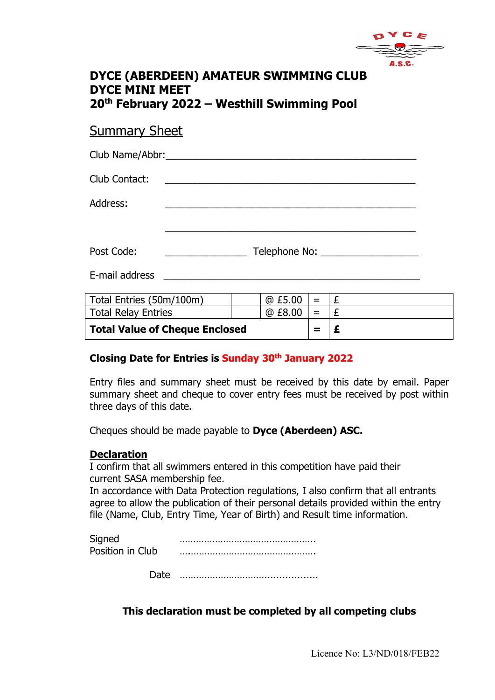

# DYCE (ABERDEEN) AMATEUR SWIMMING CLUB DYCE MINI MEET 20th February 2022 – Westhill Swimming Pool

# Summary Sheet

| Club Contact:            |                                                                               |  |        |         |   |  |
|--------------------------|-------------------------------------------------------------------------------|--|--------|---------|---|--|
| Address:                 |                                                                               |  |        |         |   |  |
|                          |                                                                               |  |        |         |   |  |
| Post Code:               | Telephone No: ____________________<br><u> 1989 - Johann Barbara, martxa a</u> |  |        |         |   |  |
| E-mail address           |                                                                               |  |        |         |   |  |
| Total Entries (50m/100m) |                                                                               |  | @E5.00 | $=$ $-$ | £ |  |

| Total Entries (50m/100m)       | $@E5.00 =  E$ |                           |  |
|--------------------------------|---------------|---------------------------|--|
| Total Relay Entries            | @ £8.00       | $\mathbf{r} = \mathbf{r}$ |  |
| Total Value of Cheque Enclosed | $=$           |                           |  |

## Closing Date for Entries is Sunday 30th January 2022

Entry files and summary sheet must be received by this date by email. Paper summary sheet and cheque to cover entry fees must be received by post within three days of this date.

Cheques should be made payable to Dyce (Aberdeen) ASC.

## **Declaration**

I confirm that all swimmers entered in this competition have paid their current SASA membership fee.

In accordance with Data Protection regulations, I also confirm that all entrants agree to allow the publication of their personal details provided within the entry file (Name, Club, Entry Time, Year of Birth) and Result time information.

Date .…………………………..................

## This declaration must be completed by all competing clubs